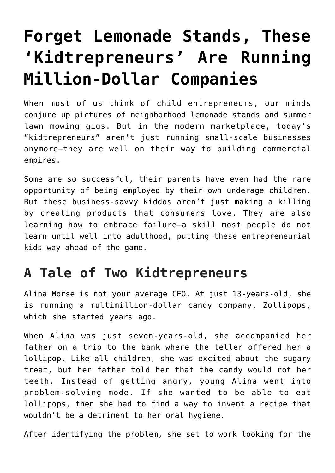## **[Forget Lemonade Stands, These](https://intellectualtakeout.org/2018/10/forget-lemonade-stands-these-kidtrepreneurs-are-running-million-dollar-companies/) ['Kidtrepreneurs' Are Running](https://intellectualtakeout.org/2018/10/forget-lemonade-stands-these-kidtrepreneurs-are-running-million-dollar-companies/) [Million-Dollar Companies](https://intellectualtakeout.org/2018/10/forget-lemonade-stands-these-kidtrepreneurs-are-running-million-dollar-companies/)**

When most of us think of child entrepreneurs, our minds conjure up pictures of neighborhood lemonade stands and summer lawn mowing gigs. But in the modern marketplace, today's "kidtrepreneurs" aren't just running small-scale businesses anymore—they are well on their way to building commercial empires.

Some are so successful, their parents have even had the rare opportunity of being employed by their own underage children. But these business-savvy kiddos aren't just making a killing by creating products that consumers love. They are also learning how to embrace failure—a skill most people do not learn until well into adulthood, putting these entrepreneurial kids way ahead of the game.

## **A Tale of Two Kidtrepreneurs**

Alina Morse is not your average CEO. At just 13-years-old, she is running a multimillion-dollar candy company, Zollipops, which she started years ago.

When Alina was just seven-years-old, she accompanied her father on a trip to the bank where the teller offered her a lollipop. Like all children, she was excited about the sugary treat, but her father told her that the candy would rot her teeth. Instead of getting angry, young Alina went into problem-solving mode. If she wanted to be able to eat lollipops, then she had to find a way to invent a recipe that wouldn't be a detriment to her oral hygiene.

After identifying the problem, she set to work looking for the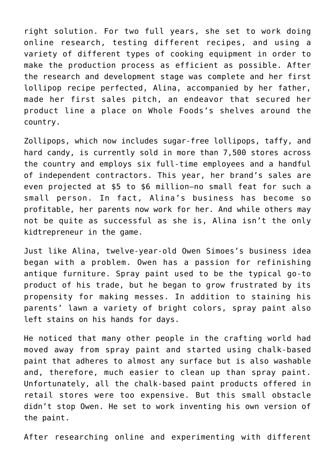right solution. For two full years, she set to work doing online research, testing different recipes, and using a variety of different types of cooking equipment in order to make the production process as efficient as possible. After the research and development stage was complete and her first lollipop recipe perfected, Alina, accompanied by her father, made her first sales pitch, an endeavor that secured her product line a place on Whole Foods's shelves around the country.

Zollipops, which now includes sugar-free lollipops, taffy, and hard candy, is currently sold in more than 7,500 stores across the country and employs six full-time employees and a handful of independent contractors. This year, her brand's sales are even projected at \$5 to \$6 million—no small feat for such a small person. In fact, Alina's business has become so profitable, her parents now work for her. And while others may not be quite as successful as she is, Alina isn't the only kidtrepreneur in the game.

Just like Alina, twelve-year-old Owen Simoes's business idea began with a problem. Owen has a passion for refinishing antique furniture. Spray paint used to be the typical go-to product of his trade, but he began to grow frustrated by its propensity for making messes. In addition to staining his parents' lawn a variety of bright colors, spray paint also left stains on his hands for days.

He noticed that many other people in the crafting world had moved away from spray paint and started using chalk-based paint that adheres to almost any surface but is also washable and, therefore, much easier to clean up than spray paint. Unfortunately, all the chalk-based paint products offered in retail stores were too expensive. But this small obstacle didn't stop Owen. He set to work inventing his own version of the paint.

After researching online and experimenting with different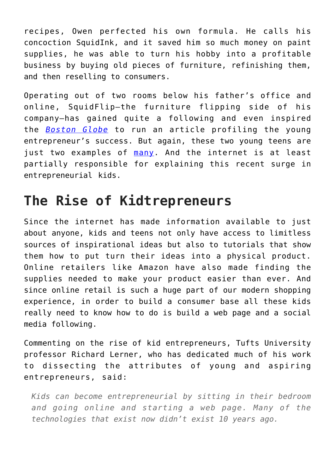recipes, Owen perfected his own formula. He calls his concoction SquidInk, and it saved him so much money on paint supplies, he was able to turn his hobby into a profitable business by buying old pieces of furniture, refinishing them, and then reselling to consumers.

Operating out of two rooms below his father's office and online, SquidFlip—the furniture flipping side of his company—has gained quite a following and even inspired the *[Boston Globe](https://www.bostonglobe.com/business/2018/09/19/kidding-age-running-business/Ukuw43AMHbL0Mcnj0qiX3I/story.html?et_rid=1847260543&s_campaign=todaysheadlines%3Anewsletter)* to run an article profiling the young entrepreneur's success. But again, these two young teens are just two examples of [many.](https://www.google.com/search?q=Kid+entrepreneurs&oq=Kid+entrepreneurs+&aqs=chrome..69i57j69i59l2j69i61j69i60l2.6183j0j7&sourceid=chrome&ie=UTF-8) And the internet is at least partially responsible for explaining this recent surge in entrepreneurial kids.

## **The Rise of Kidtrepreneurs**

Since the internet has made information available to just about anyone, kids and teens not only have access to limitless sources of inspirational ideas but also to tutorials that show them how to put turn their ideas into a physical product. Online retailers like Amazon have also made finding the supplies needed to make your product easier than ever. And since online retail is such a huge part of our modern shopping experience, in order to build a consumer base all these kids really need to know how to do is build a web page and a social media following.

Commenting on the rise of kid entrepreneurs, Tufts University professor Richard Lerner, who has dedicated much of his work to dissecting the attributes of young and aspiring entrepreneurs, said:

*Kids can become entrepreneurial by sitting in their bedroom and going online and starting a web page. Many of the technologies that exist now didn't exist 10 years ago.*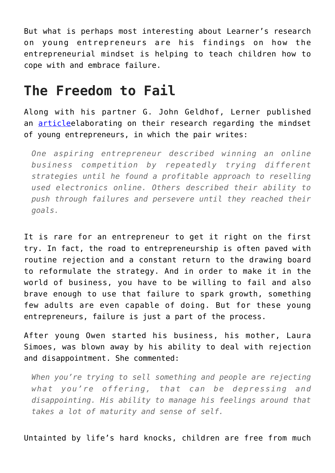But what is perhaps most interesting about Learner's research on young entrepreneurs are his findings on how the entrepreneurial mindset is helping to teach children how to cope with and embrace failure.

## **The Freedom to Fail**

Along with his partner G. John Geldhof, Lerner published an [article](https://www.wsj.com/articles/how-to-recognize-a-budding-entrepreneur-1432318006)elaborating on their research regarding the mindset of young entrepreneurs, in which the pair writes:

*One aspiring entrepreneur described winning an online business competition by repeatedly trying different strategies until he found a profitable approach to reselling used electronics online. Others described their ability to push through failures and persevere until they reached their goals.*

It is rare for an entrepreneur to get it right on the first try. In fact, the road to entrepreneurship is often paved with routine rejection and a constant return to the drawing board to reformulate the strategy. And in order to make it in the world of business, you have to be willing to fail and also brave enough to use that failure to spark growth, something few adults are even capable of doing. But for these young entrepreneurs, failure is just a part of the process.

After young Owen started his business, his mother, Laura Simoes, was blown away by his ability to deal with rejection and disappointment. She commented:

*When you're trying to sell something and people are rejecting what you're offering, that can be depressing and disappointing. His ability to manage his feelings around that takes a lot of maturity and sense of self.*

Untainted by life's hard knocks, children are free from much